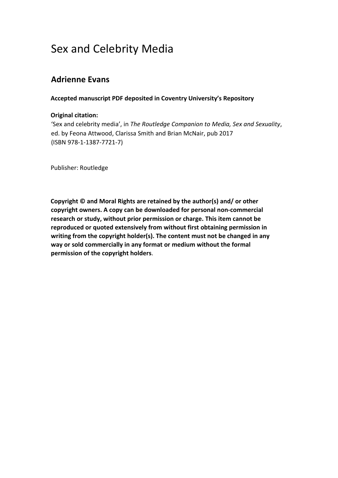# Sex and Celebrity Media

# **Adrienne Evans**

## **Accepted manuscript PDF deposited in Coventry University's Repository**

#### **Original citation:**

'Sex and celebrity media', in *The Routledge Companion to Media, Sex and Sexuality*, ed. by Feona Attwood, Clarissa Smith and Brian McNair, pub 2017 (ISBN 978-1-1387-7721-7)

Publisher: Routledge

**Copyright © and Moral Rights are retained by the author(s) and/ or other copyright owners. A copy can be downloaded for personal non-commercial research or study, without prior permission or charge. This item cannot be reproduced or quoted extensively from without first obtaining permission in writing from the copyright holder(s). The content must not be changed in any way or sold commercially in any format or medium without the formal permission of the copyright holders**.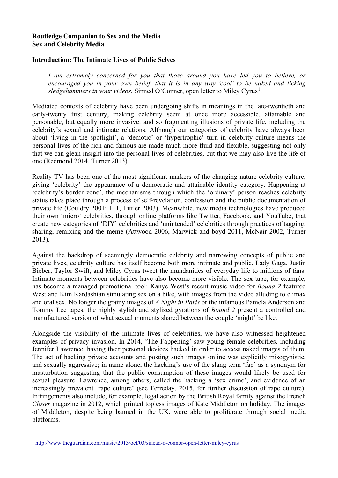### **Routledge Companion to Sex and the Media Sex and Celebrity Media**

#### **Introduction: The Intimate Lives of Public Selves**

*I am extremely concerned for you that those around you have led you to believe, or encouraged you in your own belief, that it is in any way 'cool' to be naked and licking*  sledgehammers in your videos. Sinned O'Conner, open letter to Miley Cyrus<sup>[1](#page-1-0)</sup>.

Mediated contexts of celebrity have been undergoing shifts in meanings in the late-twentieth and early-twenty first century, making celebrity seem at once more accessible, attainable and personable, but equally more invasive: and so fragmenting illusions of private life, including the celebrity's sexual and intimate relations. Although our categories of celebrity have always been about 'living in the spotlight', a 'demotic' or 'hypertrophic' turn in celebrity culture means the personal lives of the rich and famous are made much more fluid and flexible, suggesting not only that we can glean insight into the personal lives of celebrities, but that we may also live the life of one (Redmond 2014, Turner 2013).

Reality TV has been one of the most significant markers of the changing nature celebrity culture, giving 'celebrity' the appearance of a democratic and attainable identity category. Happening at 'celebrity's border zone', the mechanisms through which the 'ordinary' person reaches celebrity status takes place through a process of self-revelation, confession and the public documentation of private life (Couldry 2001: 111, Littler 2003). Meanwhile, new media technologies have produced their own 'micro' celebrities, through online platforms like Twitter, Facebook, and YouTube, that create new categories of 'DIY' celebrities and 'unintended' celebrities through practices of tagging, sharing, remixing and the meme (Attwood 2006, Marwick and boyd 2011, McNair 2002, Turner 2013).

Against the backdrop of seemingly democratic celebrity and narrowing concepts of public and private lives, celebrity culture has itself become both more intimate and public. Lady Gaga, Justin Bieber, Taylor Swift, and Miley Cyrus tweet the mundanities of everyday life to millions of fans. Intimate moments between celebrities have also become more visible. The sex tape, for example, has become a managed promotional tool: Kanye West's recent music video for *Bound 2* featured West and Kim Kardashian simulating sex on a bike, with images from the video alluding to climax and oral sex. No longer the grainy images of *A Night in Paris* or the infamous Pamela Anderson and Tommy Lee tapes, the highly stylish and stylized gyrations of *Bound 2* present a controlled and manufactured version of what sexual moments shared between the couple 'might' be like.

Alongside the visibility of the intimate lives of celebrities, we have also witnessed heightened examples of privacy invasion. In 2014, 'The Fappening' saw young female celebrities, including Jennifer Lawrence, having their personal devices hacked in order to access naked images of them. The act of hacking private accounts and posting such images online was explicitly misogynistic, and sexually aggressive; in name alone, the hacking's use of the slang term 'fap' as a synonym for masturbation suggesting that the public consumption of these images would likely be used for sexual pleasure. Lawrence, among others, called the hacking a 'sex crime', and evidence of an increasingly prevalent 'rape culture' (see Ferreday, 2015, for further discussion of rape culture). Infringements also include, for example, legal action by the British Royal family against the French *Closer* magazine in 2012, which printed topless images of Kate Middleton on holiday. The images of Middleton, despite being banned in the UK, were able to proliferate through social media platforms.

<span id="page-1-0"></span><sup>1</sup> <http://www.theguardian.com/music/2013/oct/03/sinead-o-connor-open-letter-miley-cyrus>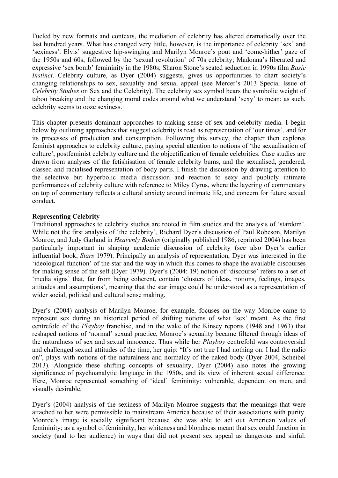Fueled by new formats and contexts, the mediation of celebrity has altered dramatically over the last hundred years. What has changed very little, however, is the importance of celebrity 'sex' and 'sexiness'. Elvis' suggestive hip-swinging and Marilyn Monroe's pout and 'come-hither' gaze of the 1950s and 60s, followed by the 'sexual revolution' of 70s celebrity; Madonna's liberated and expressive 'sex bomb' femininity in the 1980s; Sharon Stone's seated seduction in 1990s film *Basic Instinct*. Celebrity culture, as Dyer (2004) suggests, gives us opportunities to chart society's changing relationships to sex, sexuality and sexual appeal (see Mercer's 2013 Special Issue of *Celebrity Studies* on Sex and the Celebrity). The celebrity sex symbol bears the symbolic weight of taboo breaking and the changing moral codes around what we understand 'sexy' to mean: as such, celebrity seems to ooze sexiness.

This chapter presents dominant approaches to making sense of sex and celebrity media. I begin below by outlining approaches that suggest celebrity is read as representation of 'our times', and for its processes of production and consumption. Following this survey, the chapter then explores feminist approaches to celebrity culture, paying special attention to notions of 'the sexualisation of culture', postfeminist celebrity culture and the objectification of female celebrities. Case studies are drawn from analyses of the fetishisation of female celebrity bums, and the sexualised, gendered, classed and racialised representation of body parts. I finish the discussion by drawing attention to the selective but hyperbolic media discussion and reaction to sexy and publicly intimate performances of celebrity culture with reference to Miley Cyrus, where the layering of commentary on top of commentary reflects a cultural anxiety around intimate life, and concern for future sexual conduct.

#### **Representing Celebrity**

Traditional approaches to celebrity studies are rooted in film studies and the analysis of 'stardom'. While not the first analysis of 'the celebrity', Richard Dyer's discussion of Paul Robeson, Marilyn Monroe, and Judy Garland in *Heavenly Bodies* (originally published 1986, reprinted 2004) has been particularly important in shaping academic discussion of celebrity (see also Dyer's earlier influential book, *Stars* 1979). Principally an analysis of representation, Dyer was interested in the 'ideological function' of the star and the way in which this comes to shape the available discourses for making sense of the self (Dyer 1979). Dyer's (2004: 19) notion of 'discourse' refers to a set of 'media signs' that, far from being coherent, contain 'clusters of ideas, notions, feelings, images, attitudes and assumptions', meaning that the star image could be understood as a representation of wider social, political and cultural sense making.

Dyer's (2004) analysis of Marilyn Monroe, for example, focuses on the way Monroe came to represent sex during an historical period of shifting notions of what 'sex' meant. As the first centrefold of the *Playboy* franchise, and in the wake of the Kinsey reports (1948 and 1963) that reshaped notions of 'normal' sexual practice, Monroe's sexuality became filtered through ideas of the naturalness of sex and sexual innocence. Thus while her *Playboy* centrefold was controversial and challenged sexual attitudes of the time, her quip: "It's not true I had nothing on. I had the radio on", plays with notions of the naturalness and normalcy of the naked body (Dyer 2004, Scheibel 2013). Alongside these shifting concepts of sexuality, Dyer (2004) also notes the growing significance of psychoanalytic language in the 1950s, and its view of inherent sexual difference. Here, Monroe represented something of 'ideal' femininity: vulnerable, dependent on men, and visually desirable.

Dyer's (2004) analysis of the sexiness of Marilyn Monroe suggests that the meanings that were attached to her were permissible to mainstream America because of their associations with purity. Monroe's image is socially significant because she was able to act out American values of femininity: as a symbol of femininity, her whiteness and blondness meant that sex could function in society (and to her audience) in ways that did not present sex appeal as dangerous and sinful.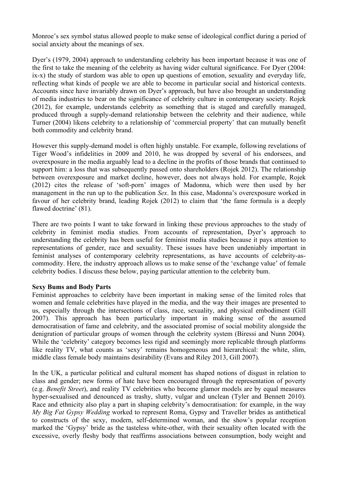Monroe's sex symbol status allowed people to make sense of ideological conflict during a period of social anxiety about the meanings of sex.

Dyer's (1979, 2004) approach to understanding celebrity has been important because it was one of the first to take the meaning of the celebrity as having wider cultural significance. For Dyer (2004: ix-x) the study of stardom was able to open up questions of emotion, sexuality and everyday life, reflecting what kinds of people we are able to become in particular social and historical contexts. Accounts since have invariably drawn on Dyer's approach, but have also brought an understanding of media industries to bear on the significance of celebrity culture in contemporary society. Rojek (2012), for example, understands celebrity as something that is staged and carefully managed, produced through a supply-demand relationship between the celebrity and their audience, while Turner (2004) likens celebrity to a relationship of 'commercial property' that can mutually benefit both commodity and celebrity brand.

However this supply-demand model is often highly unstable. For example, following revelations of Tiger Wood's infidelities in 2009 and 2010, he was dropped by several of his endorsees, and overexposure in the media arguably lead to a decline in the profits of those brands that continued to support him: a loss that was subsequently passed onto shareholders (Rojek 2012). The relationship between overexposure and market decline, however, does not always hold. For example, Rojek (2012) cites the release of 'soft-porn' images of Madonna, which were then used by her management in the run up to the publication *Sex*. In this case, Madonna's overexposure worked in favour of her celebrity brand, leading Rojek (2012) to claim that 'the fame formula is a deeply flawed doctrine' (81).

There are two points I want to take forward in linking these previous approaches to the study of celebrity in feminist media studies. From accounts of representation, Dyer's approach to understanding the celebrity has been useful for feminist media studies because it pays attention to representations of gender, race and sexuality. These issues have been undeniably important in feminist analyses of contemporary celebrity representations, as have accounts of celebrity-ascommodity. Here, the industry approach allows us to make sense of the 'exchange value' of female celebrity bodies. I discuss these below, paying particular attention to the celebrity bum.

#### **Sexy Bums and Body Parts**

Feminist approaches to celebrity have been important in making sense of the limited roles that women and female celebrities have played in the media, and the way their images are presented to us, especially through the intersections of class, race, sexuality, and physical embodiment (Gill 2007). This approach has been particularly important in making sense of the assumed democratisation of fame and celebrity, and the associated promise of social mobility alongside the denigration of particular groups of women through the celebrity system (Biressi and Nunn 2004). While the 'celebrity' category becomes less rigid and seemingly more replicable through platforms like reality TV, what counts as 'sexy' remains homogeneous and hierarchical: the white, slim, middle class female body maintains desirability (Evans and Riley 2013, Gill 2007).

In the UK, a particular political and cultural moment has shaped notions of disgust in relation to class and gender; new forms of hate have been encouraged through the representation of poverty (e.g. *Benefit Street*), and reality TV celebrities who become glamor models are by equal measures hyper-sexualised and denounced as trashy, slutty, vulgar and unclean (Tyler and Bennett 2010). Race and ethnicity also play a part in shaping celebrity's democratisation: for example, in the way *My Big Fat Gypsy Wedding* worked to represent Roma, Gypsy and Traveller brides as antithetical to constructs of the sexy, modern, self-determined woman, and the show's popular reception marked the 'Gypsy' bride as the tasteless white-other, with their sexuality often located with the excessive, overly fleshy body that reaffirms associations between consumption, body weight and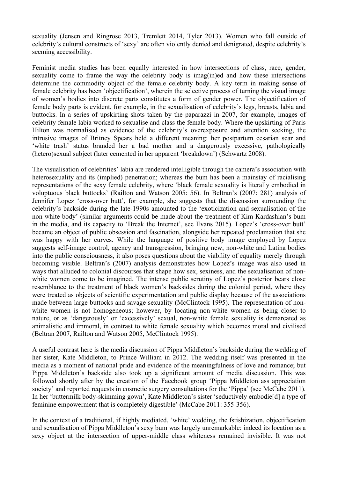sexuality (Jensen and Ringrose 2013, Tremlett 2014, Tyler 2013). Women who fall outside of celebrity's cultural constructs of 'sexy' are often violently denied and denigrated, despite celebrity's seeming accessibility.

Feminist media studies has been equally interested in how intersections of class, race, gender, sexuality come to frame the way the celebrity body is imag(in)ed and how these intersections determine the commodity object of the female celebrity body. A key term in making sense of female celebrity has been 'objectification', wherein the selective process of turning the visual image of women's bodies into discrete parts constitutes a form of gender power. The objectification of female body parts is evident, for example, in the sexualisation of celebrity's legs, breasts, labia and buttocks. In a series of upskirting shots taken by the paparazzi in 2007, for example, images of celebrity female labia worked to sexualise and class the female body. Where the upskirting of Paris Hilton was normalised as evidence of the celebrity's overexposure and attention seeking, the intrusive images of Britney Spears held a different meaning: her postpartum cesarian scar and 'white trash' status branded her a bad mother and a dangerously excessive, pathologically (hetero)sexual subject (later cemented in her apparent 'breakdown') (Schwartz 2008).

The visualisation of celebrities' labia are rendered intelligible through the camera's association with heterosexuality and its (implied) penetration; whereas the bum has been a mainstay of racialising representations of the sexy female celebrity, where 'black female sexuality is literally embodied in voluptuous black buttocks' (Railton and Watson 2005: 56). In Beltran's (2007: 281) analysis of Jennifer Lopez 'cross-over butt', for example, she suggests that the discussion surrounding the celebrity's backside during the late-1990s amounted to the 'exoticization and sexualisation of the non-white body' (similar arguments could be made about the treatment of Kim Kardashian's bum in the media, and its capacity to 'Break the Internet', see Evans 2015). Lopez's 'cross-over butt' became an object of public obsession and fascination, alongside her repeated proclamation that she was happy with her curves. While the language of positive body image employed by Lopez suggests self-image control, agency and transgression, bringing new, non-white and Latina bodies into the public consciousness, it also poses questions about the viability of equality merely through becoming visible. Beltran's (2007) analysis demonstrates how Lopez's image was also used in ways that alluded to colonial discourses that shape how sex, sexiness, and the sexualisation of nonwhite women come to be imagined. The intense public scrutiny of Lopez's posterior bears close resemblance to the treatment of black women's backsides during the colonial period, where they were treated as objects of scientific experimentation and public display because of the associations made between large buttocks and savage sexuality (McClintock 1995). The representation of nonwhite women is not homogeneous; however, by locating non-white women as being closer to nature, or as 'dangerously' or 'excessively' sexual, non-white female sexuality is demarcated as animalistic and immoral, in contrast to white female sexuality which becomes moral and civilised (Beltran 2007, Railton and Watson 2005, McClintock 1995).

A useful contrast here is the media discussion of Pippa Middleton's backside during the wedding of her sister, Kate Middleton, to Prince William in 2012. The wedding itself was presented in the media as a moment of national pride and evidence of the meaningfulness of love and romance; but Pippa Middleton's backside also took up a significant amount of media discussion. This was followed shortly after by the creation of the Facebook group 'Pippa Middleton ass appreciation society' and reported requests in cosmetic surgery consultations for the 'Pippa' (see McCabe 2011). In her 'buttermilk body-skimming gown', Kate Middleton's sister 'seductively embodie[d] a type of feminine empowerment that is completely digestible' (McCabe 2011: 355-356).

In the context of a traditional, if highly mediated, 'white' wedding, the fstishization, objectification and sexualisation of Pippa Middleton's sexy bum was largely unremarkable: indeed its location as a sexy object at the intersection of upper-middle class whiteness remained invisible. It was not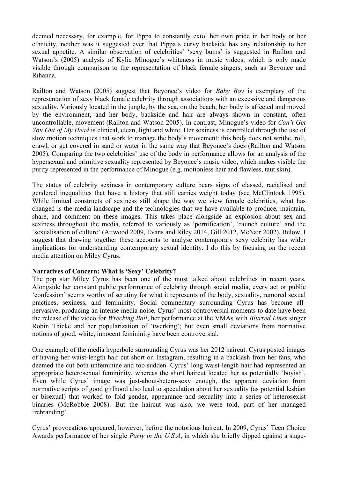deemed necessary, for example, for Pippa to constantly extol her own pride in her body or her ethnicity, neither was it suggested ever that Pippa's curvy backside has any relationship to her sexual appetite. A similar observation of celebrities' 'sexy bums' is suggested in Railton and Watson's (2005) analysis of Kylie Minogue's whiteness in music videos, which is only made visible through comparison to the representation of black female singers, such as Beyonce and Rihanna.

Railton and Watson (2005) suggest that Beyonce's video for *Baby Boy* is exemplary of the representation of sexy black female celebrity through associations with an excessive and dangerous sexuality. Variously located in the jungle, by the sea, on the beach, her body is affected and moved by the environment, and her body, backside and hair are always shown in constant, often uncontrollable, movement (Railton and Watson 2005). In contrast, Minogue's video for *Can't Get You Out of My Head* is clinical, clean, light and white. Her sexiness is controlled through the use of slow motion techniques that work to manage the body's movement: this body does not writhe, roll, crawl, or get covered in sand or water in the same way that Beyonce's does (Railton and Watson 2005). Comparing the two celebrities' use of the body in performance allows for an analysis of the hypersexual and primitive sexuality represented by Beyonce's music video, which makes visible the purity represented in the performance of Minogue (e.g. motionless hair and flawless, taut skin).

The status of celebrity sexiness in contemporary culture bears signs of classed, racialised and gendered inequalities that have a history that still carries weight today (see McClintock 1995). While limited constructs of sexiness still shape the way we view female celebrities, what has changed is the media landscape and the technologies that we have available to produce, maintain, share, and comment on these images. This takes place alongside an explosion about sex and sexiness throughout the media, referred to variously as 'pornification', 'raunch culture' and the 'sexualisation of culture' (Attwood 2009, Evans and Riley 2014, Gill 2012, McNair 2002). Below, I suggest that drawing together these accounts to analyse contemporary sexy celebrity has wider implications for understanding contemporary sexual identity. I do this by focusing on the recent media attention on Miley Cyrus.

#### **Narratives of Concern: What is 'Sexy' Celebrity?**

The pop star Miley Cyrus has been one of the most talked about celebrities in recent years. Alongside her constant public performance of celebrity through social media, every act or public 'confession' seems worthy of scrutiny for what it represents of the body, sexuality, rumored sexual practices, sexiness, and femininity. Social commentary surrounding Cyrus has become allpervasive, producing an intense media noise. Cyrus' most controversial moments to date have been the release of the video for *Wrecking Ball*, her performance at the VMAs with *Blurred Lines* singer Robin Thicke and her popularization of 'twerking'; but even small deviations from normative notions of good, white, innocent femininity have been controversial.

One example of the media hyperbole surrounding Cyrus was her 2012 haircut. Cyrus posted images of having her waist-length hair cut short on Instagram, resulting in a backlash from her fans, who deemed the cut both unfeminine and too sudden. Cyrus' long waist-length hair had represented an appropriate heterosexual femininity, whereas the short haircut located her as potentially 'boyish'. Even while Cyrus' image was just-about-hetero-sexy enough, the apparent deviation from normative scripts of good girlhood also lead to speculation about her sexuality (as potential lesbian or bisexual) that worked to fold gender, appearance and sexuality into a series of heterosexist binaries (McRobbie 2008). But the haircut was also, we were told, part of her managed 'rebranding'.

Cyrus' provocations appeared, however, before the notorious haircut. In 2009, Cyrus' Teen Choice Awards performance of her single *Party in the U.S.A*, in which she briefly dipped against a stage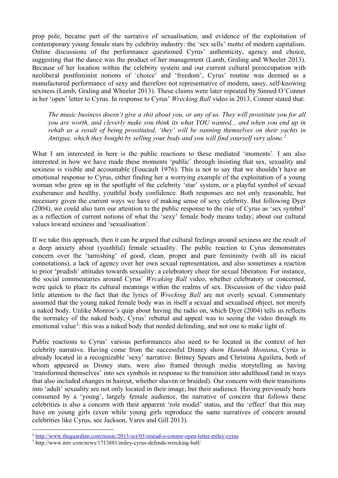prop pole, became part of the narrative of sexualisation, and evidence of the exploitation of contemporary young female stars by celebrity industry: the 'sex sells' motto of modern capitalism. Online discussions of the performance questioned Cyrus' authenticity, agency and choice, suggesting that the dance was the product of her management (Lamb, Graling and Wheeler 2013). Because of her location within the celebrity system and our current cultural preoccupation with neoliberal postfeminist notions of 'choice' and 'freedom', Cyrus' routine was deemed as a manufactured performance of sexy and therefore not representative of modern, sassy, self-knowing sexiness (Lamb, Graling and Wheeler 2013). These claims were later repeated by Sinned O'Conner in her 'open' letter to Cyrus. In response to Cyrus' *Wrecking Ball* video in 2013, Conner stated that:

*The music business doesn't give a shit about you, or any of us. They will prostitute you for all you are worth, and cleverly make you think its what YOU wanted... and when you end up in rehab as a result of being prostituted, 'they' will be sunning themselves on their yachts in Antigua, which they bought by selling your body and you will find yourself very alone.[2](#page-6-0)*

What I am interested in here is the public reactions to these mediated 'moments'. I am also interested in how we have made these moments 'public' through insisting that sex, sexuality and sexiness is visible and accountable (Foucault 1976). This is not to say that we shouldn't have an emotional response to Cyrus, either finding her a worrying example of the exploitation of a young woman who grew up in the spotlight of the celebrity 'star' system, or a playful symbol of sexual exuberance and healthy, youthful body confidence. Both responses are not only reasonable, but necessary given the current ways we have of making sense of sexy celebrity. But following Dyer (2004), we could also turn our attention to the public response to the rise of Cyrus as 'sex symbol' as a reflection of current notions of what the 'sexy' female body means today; about our cultural values toward sexiness and 'sexualisation'.

If we take this approach, then it can be argued that cultural feelings around sexiness are the result of a deep anxiety about (youthful) female sexuality. The public reaction to Cyrus demonstrates concern over the 'tarnishing' of good, clean, proper and pure femininity (with all its racial connotations), a lack of agency over her own sexual representation, and also sometimes a reaction to prior 'prudish' attitudes towards sexuality: a celebratory cheer for sexual liberation. For instance, the social commentaries around Cyrus' *Wrcaking Ball* video, whether celebratory or concerned, were quick to place its cultural meanings within the realms of sex. Discussion of the video paid little attention to the fact that the lyrics of *Wrecking Ball* are not overly sexual. Commentary assumed that the young naked female body was in itself a sexual and sexualised object, not merely a naked body. Unlike Monroe's quip about having the radio on, which Dyer (2004) tells us reflects the normalcy of the naked body, Cyrus' rebuttal and appeal was to seeing the video through its emotional value<sup>[3](#page-6-1)</sup>: this was a naked body that needed defending, and not one to make light of.

Public reactions to Cyrus' various performances also need to be located in the context of her celebrity narrative. Having come from the successful Disney show *Hannah Montana*, Cyrus is already located in a recognizable 'sexy' narrative: Britney Spears and Christina Aguilera, both of whom appeared as Disney stars, were also framed through media storytelling as having 'transformed themselves' into sex symbols in response to the transition into adulthood (and in ways that also included changes in haircut, whether shaven or braided). Our concern with their transitions into 'adult' sexuality are not only located in their image, but their audience. Having previously been consumed by a 'young', largely female audience, the narrative of concern that follows these celebrities is also a concern with their apparent 'role model' status, and the 'effect' that this may have on young girls (even while young girls reproduce the same narratives of concern around celebrities like Cyrus, see Jackson, Vares and Gill 2013).

<span id="page-6-0"></span><sup>2</sup> <http://www.theguardian.com/music/2013/oct/03/sinead-o-connor-open-letter-miley-cyrus>

<span id="page-6-1"></span><sup>3</sup> http://www.mtv.com/news/1713881/miley-cyrus-defends-wrecking-ball/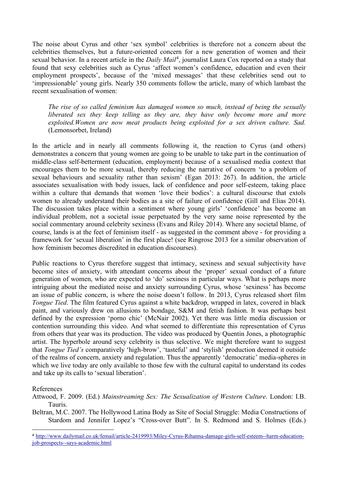The noise about Cyrus and other 'sex symbol' celebrities is therefore not a concern about the celebrities themselves, but a future-oriented concern for a new generation of women and their sexual behavior. In a recent article in the *Daily Mail*[4](#page-7-0) , journalist Laura Cox reported on a study that found that sexy celebrities such as Cyrus 'affect women's confidence, education and even their employment prospects', because of the 'mixed messages' that these celebrities send out to 'impressionable' young girls. Nearly 350 comments follow the article, many of which lambast the recent sexualisation of women:

*The rise of so called feminism has damaged women so much, instead of being the sexually liberated sex they keep telling us they are, they have only become more and more exploited.Women are now meat products being exploited for a sex driven culture. Sad.*  (Lemonsorbet, Ireland)

In the article and in nearly all comments following it, the reaction to Cyrus (and others) demonstrates a concern that young women are going to be unable to take part in the continuation of middle-class self-betterment (education, employment) because of a sexualised media context that encourages them to be more sexual, thereby reducing the narrative of concern 'to a problem of sexual behaviours and sexuality rather than sexism' (Egan 2013: 267). In addition, the article associates sexualisation with body issues, lack of confidence and poor self-esteem, taking place within a culture that demands that women 'love their bodies': a cultural discourse that extols women to already understand their bodies as a site of failure of confidence (Gill and Elias 2014). The discussion takes place within a sentiment where young girls' 'confidence' has become an individual problem, not a societal issue perpetuated by the very same noise represented by the social commentary around celebrity sexiness (Evans and Riley 2014). Where any societal blame, of course, lands is at the feet of feminism itself - as suggested in the comment above - for providing a framework for 'sexual liberation' in the first place! (see Ringrose 2013 for a similar observation of how feminism becomes discredited in education discourses).

Public reactions to Cyrus therefore suggest that intimacy, sexiness and sexual subjectivity have become sites of anxiety, with attendant concerns about the 'proper' sexual conduct of a future generation of women, who are expected to 'do' sexiness in particular ways. What is perhaps more intriguing about the mediated noise and anxiety surrounding Cyrus, whose 'sexiness' has become an issue of public concern, is where the noise doesn't follow. In 2013, Cyrus released short film *Tongue Tied*. The film featured Cyrus against a white backdrop, wrapped in latex, covered in black paint, and variously drew on allusions to bondage, S&M and fetish fashion. It was perhaps best defined by the expression 'porno chic' (McNair 2002). Yet there was little media discussion or contention surrounding this video. And what seemed to differentiate this representation of Cyrus from others that year was its production. The video was produced by Quentin Jones, a photographic artist. The hyperbole around sexy celebrity is thus selective. We might therefore want to suggest that *Tongue Tied's* comparatively 'high-brow', 'tasteful' and 'stylish' production deemed it outside of the realms of concern, anxiety and regulation. Thus the apparently 'democratic' media-spheres in which we live today are only available to those few with the cultural capital to understand its codes and take up its calls to 'sexual liberation'.

References

Attwood, F. 2009. (Ed.) *Mainstreaming Sex: The Sexualization of Western Culture*. London: I.B. Tauris.

Beltran, M.C. 2007. The Hollywood Latina Body as Site of Social Struggle: Media Constructions of Stardom and Jennifer Lopez's "Cross-over Butt". In S. Redmond and S. Holmes (Eds.)

<span id="page-7-0"></span><sup>4</sup> [http://www.dailymail.co.uk/femail/article-2419993/Miley-Cyrus-Rihanna-damage-girls-self-esteem--harm-education](http://www.dailymail.co.uk/femail/article-2419993/Miley-Cyrus-Rihanna-damage-girls-self-esteem--harm-education-job-prospects--says-academic.html)[job-prospects--says-academic.html](http://www.dailymail.co.uk/femail/article-2419993/Miley-Cyrus-Rihanna-damage-girls-self-esteem--harm-education-job-prospects--says-academic.html)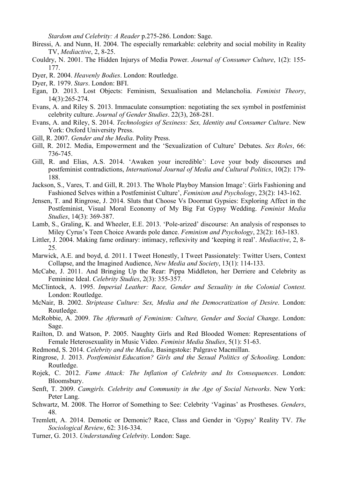*Stardom and Celebrity: A Reader* p.275-286. London: Sage.

- Biressi, A. and Nunn, H. 2004. The especially remarkable: celebrity and social mobility in Reality TV, *Mediactive*, 2, 8-25.
- Couldry, N. 2001. The Hidden Injurys of Media Power. *Journal of Consumer Culture*, 1(2): 155- 177.
- Dyer, R. 2004. *Heavenly Bodies*. London: Routledge.
- Dyer, R. 1979. *Stars*. London: BFI.
- Egan, D. 2013. Lost Objects: Feminism, Sexualisation and Melancholia. *Feminist Theory*, 14(3):265-274.
- Evans, A. and Riley S. 2013. Immaculate consumption: negotiating the sex symbol in postfeminist celebrity culture. *Journal of Gender Studies*. 22(3), 268-281.
- Evans, A. and Riley, S. 2014. *Technologies of Sexiness: Sex, Identity and Consumer Culture*. New York: Oxford University Press.
- Gill, R. 2007. *Gender and the Media*. Polity Press.
- Gill, R. 2012. Media, Empowerment and the 'Sexualization of Culture' Debates. *Sex Roles*, 66: 736-745.
- Gill, R. and Elias, A.S. 2014. 'Awaken your incredible': Love your body discourses and postfeminist contradictions, *International Journal of Media and Cultural Politics*, 10(2): 179- 188.
- Jackson, S., Vares, T. and Gill, R. 2013. The Whole Playboy Mansion Image': Girls Fashioning and Fashioned Selves within a Postfeminist Culture', *Feminism and Psychology*, 23(2): 143-162.
- Jensen, T. and Ringrose, J. 2014. Sluts that Choose Vs Doormat Gypsies: Exploring Affect in the Postfeminist, Visual Moral Economy of My Big Fat Gypsy Wedding. *Feminist Media Studies*, 14(3): 369-387.
- Lamb, S., Graling, K. and Wheeler, E.E. 2013. 'Pole-arized' discourse: An analysis of responses to Miley Cyrus's Teen Choice Awards pole dance. *Feminism and Psychology*, 23(2): 163-183.
- Littler, J. 2004. Making fame ordinary: intimacy, reflexivity and 'keeping it real'. *Mediactive*, 2, 8- 25.
- Marwick, A.E. and boyd, d. 2011. I Tweet Honestly, I Tweet Passionately: Twitter Users, Context Collapse, and the Imagined Audience, *New Media and Society*, 13(1): 114-133.
- McCabe, J. 2011. And Bringing Up the Rear: Pippa Middleton, her Derriere and Celebrity as Feminine Ideal. *Celebrity Studies*, 2(3): 355-357.
- McClintock, A. 1995. *Imperial Leather: Race, Gender and Sexuality in the Colonial Contest*. London: Routledge.
- McNair, B. 2002. *Striptease Culture: Sex, Media and the Democratization of Desire*. London: Routledge.
- McRobbie, A. 2009. *The Aftermath of Feminism: Culture, Gender and Social Change*. London: Sage.
- Railton, D. and Watson, P. 2005. Naughty Girls and Red Blooded Women: Representations of Female Heterosexuality in Music Video. *Feminist Media Studies*, 5(1): 51-63.
- Redmond, S. 2014. *Celebrity and the Media*, Basingstoke: Palgrave Macmillan.
- Ringrose, J. 2013. *Postfeminist Education? Girls and the Sexual Politics of Schooling*. London: Routledge.
- Rojek, C. 2012. *Fame Attack: The Inflation of Celebrity and Its Consequences*. London: Bloomsbury.
- Senft, T. 2009. *Camgirls. Celebrity and Community in the Age of Social Networks*. New York: Peter Lang.
- Schwartz, M. 2008. The Horror of Something to See: Celebrity 'Vaginas' as Prostheses. *Genders*, 48.
- Tremlett, A. 2014. Demotic or Demonic? Race, Class and Gender in 'Gypsy' Reality TV. *The Sociological Review*, 62: 316-334.
- Turner, G. 2013. *Understanding Celebrity*. London: Sage.